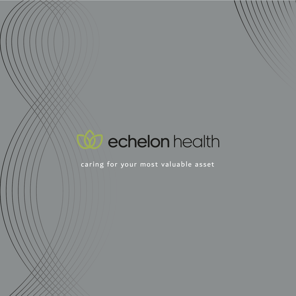# **Confect beach**

caring for your most valuable asset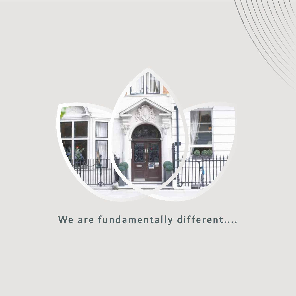

### We are fundamentally different....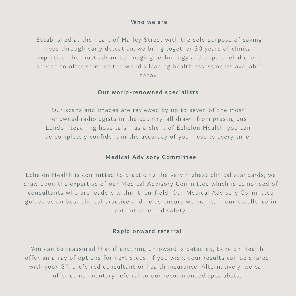#### Who we are

Established at the heart of Harley Street with the sole purpose of saving lives through early detection, we bring together 30 years of clinical expertise, the most advanced imaging technology and unparalleled client service to offer some of the world's leading health assessments available today.

#### Our world-renowned specialists

Our scans and images are reviewed by up to seven of the most renowned radiologists in the country, all drawn from prestigious London teaching hospitals - as a client of Echelon Health, you can be completely confident in the accuracy of your results every time.

#### Medical Advisory Committee

Echelon Health is committed to practicing the very highest clinical standards; we draw upon the expertise of our Medical Advisory Committee which is comprised of consultants who are leaders within their field. Our Medical Advisory Committee guides us on best clinical practice and helps ensure we maintain our excellence in patient care and safety.

#### Rapid onward referral

You can be reassured that if anything untoward is detected, Echelon Health offer an array of options for next steps. If you wish, your results can be shared with your GP, preferred consultant or health insurance. Alternatively, we can offer complimentary referral to our recommended specialists.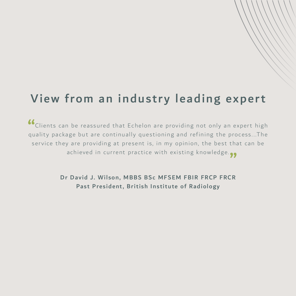## View from an industry leading expert

Clients can be reassured that Echelon are providing not only an expert high quality package but are continually questioning and refining the process...The service they are providing at present is, in my opinion, the best that can be achieved in current practice with existing knowledge.<sub>??</sub>  $^{\prime\prime}$ 

> Dr David J. Wilson, MBBS BSc MFSEM FBIR FRCP FRCR Past President, British Institute of Radiology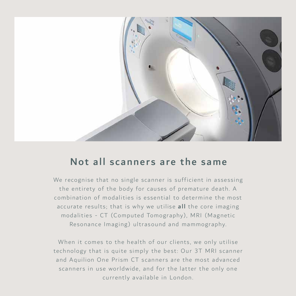

#### Not all scanners are the same

We recognise that no single scanner is sufficient in assessing the entirety of the body for causes of premature death. A combination of modalities is essential to determine the most accurate results; that is why we utilise all the core imaging modalities - CT (Computed Tomography), MRI (Magnetic Resonance Imaging) ultrasound and mammography.

When it comes to the health of our clients, we only utilise technology that is quite simply the best: Our 3T MRI scanner and Aquilion One Prism CT scanners are the most advanced scanners in use worldwide, and for the latter the only one currently available in London.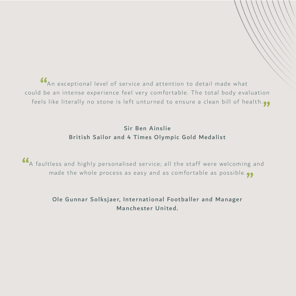An exceptional level of service and attention to detail made what could be an intense experience feel very comfortable. The total body evaluation feels like literally no stone is left unturned to ensure a clean bill of health. "  $\begin{array}{c}\n66 \\
1 \text{b}\n\end{array}$ 

#### Sir Ben Ainslie British Sailor and 4 Times Olympic Gold Medalist

A faultless and highly personalised service; all the staff were welcoming and made the whole process as easy and as comfortable as possible.<sub>??</sub> "

#### Ole Gunnar Solksjaer, International Footballer and Manager Manchester United.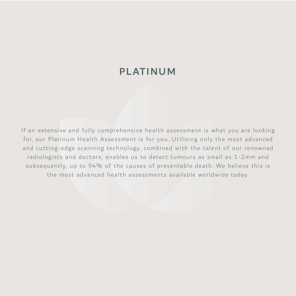#### PLATINUM

If an extensive and fully comprehensive health assessment is what you are looking for, our Platinum Health Assessment is for you. Utilising only the most advanced and cutting-edge scanning technology, combined with the talent of our renowned radiologists and doctors, enables us to detect tumours as small as 1-2mm and subsequently, up to 94% of the causes of preventable death. We believe this is the most advanced health assessments available worldwide today.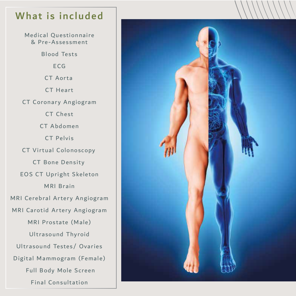### What is included

Medical Questionnaire & Pre-Assessment Blood Tests ECG CT Aorta CT Heart CT Coronary Angiogram CT Chest CT Abdomen CT Pelvis CT Virtual Colonoscopy CT Bone Density EOS CT Upright Skeleton MRI Brain MRI Cerebral Artery Angiogram MRI Carotid Artery Angiogram MRI Prostate (Male) Ultrasound Thyroid Ultrasound Testes/ Ovaries Digital Mammogram (Female) Full Body Mole Screen Final Consultation

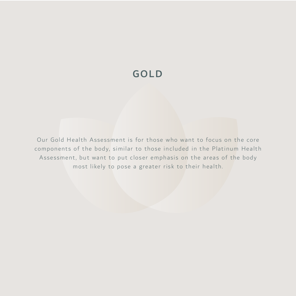### GOLD

Our Gold Health Assessment is for those who want to focus on the core components of the body, similar to those included in the Platinum Health Assessment, but want to put closer emphasis on the areas of the body most likely to pose a greater risk to their health.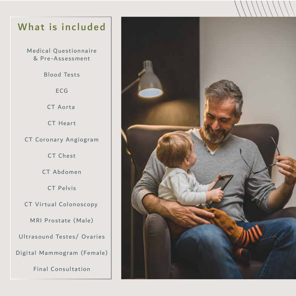### What is included

Medical Questionnaire & Pre-Assessment

Blood Tests

ECG

CT Aorta

CT Heart

CT Coronary Angiogram

CT Chest

CT Abdomen

CT Pelvis

CT Virtual Colonoscopy

MRI Prostate (Male)

Ultrasound Testes/ Ovaries

Digital Mammogram (Female)

Final Consultation

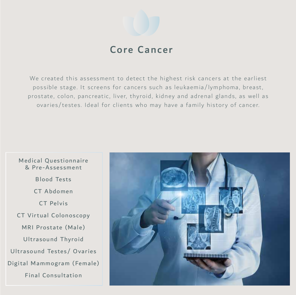

### Core Cancer

We created this assessment to detect the highest risk cancers at the earliest possible stage. It screens for cancers such as leukaemia/lymphoma, breast, prostate, colon, pancreatic, liver, thyroid, kidney and adrenal glands, as well as ovaries/testes. Ideal for clients who may have a family history of cancer.

### Medical Questionnaire & Pre-Assessment Blood Tests CT Abdomen CT Pelvis CT Virtual Colonoscopy MRI Prostate (Male) Ultrasound Thyroid Ultrasound Testes/ Ovaries Digital Mammogram (Female) Final Consultation

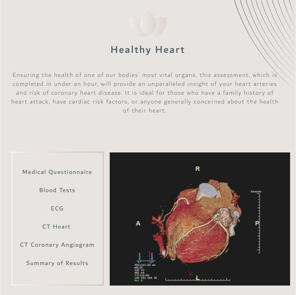

### Healthy Heart

Ensuring the health of one of our bodies' most vital organs, this assessment, which is completed in under an hour, will provide an unparalleled insight of your heart arteries and risk of coronary heart disease. It is ideal for those who have a family history of heart attack, have cardiac risk factors, or anyone generally concerned about the health of their heart.



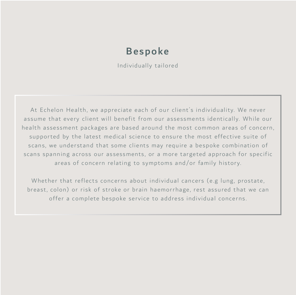### Bespoke

Individually tailored

At Echelon Health, we appreciate each of our client 's individuality. We never assume that every client will benefit from our assessments identically. While our health assessment packages are based around the most common areas of concern, supported by the latest medical science to ensure the most effective suite of scans, we understand that some clients may require a bespoke combination of scans spanning across our assessments, or a more targeted approach for specific areas of concern relating to symptoms and/or family history.

Whether that reflects concerns about individual cancers (e.g lung, prostate, breast, colon) or risk of stroke or brain haemorrhage, rest assured that we can offer a complete bespoke service to address individual concerns.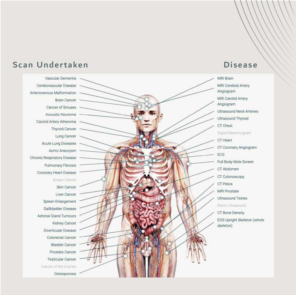

#### Scan Undertaken Disease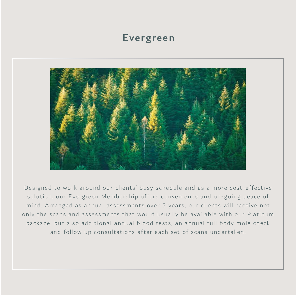#### Evergreen



Designed to work around our clients' busy schedule and as a more cost-effective solution, our Evergreen Membership offers convenience and on-going peace of mind. Arranged as annual assessments over 3 years, our clients will receive not only the scans and assessments that would usually be available with our Platinum package, but also additional annual blood tests, an annual full body mole check and follow up consultations after each set of scans undertaken.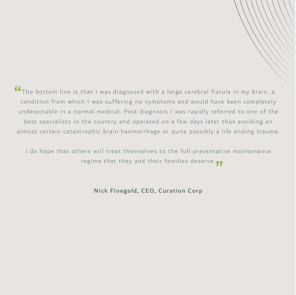**66** The bottom line is that I was diagnosed with a large cerebral fistula in my brain, a condition from which I was suffering no symptoms and would have been completely condition from which I was suffering no symptoms and would have been completely undetectable in a normal medical. Post diagnosis I was rapidly referred to one of the best specialists in the country and operated on a few days later thus avoiding an almost certain catastrophic brain haemorrhage or quite possibly a life ending trauma.

I do hope that others will treat themselves to the full preventative maintenance regime that they and their families deserve.<sub>??</sub>

Nick Finegold, CEO, Curation Corp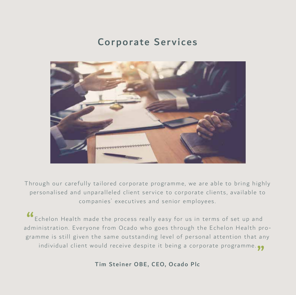### Corporate Services



Through our carefully tailored corporate programme, we are able to bring highly personalised and unparalleled client service to corporate clients, available to companies' executives and senior employees.

Echelon Health made the process really easy for us in terms of set up and CO Echelon Health made the process really easy for us in terms of set up and<br>administration. Everyone from Ocado who goes through the Echelon Health programme is still given the same outstanding level of personal attention that any individual client would receive despite it being a corporate programme.  $\bullet\bullet$ <br>Tim Steiner OBE. CEO. Ocado Plc

Tim Steiner OBE, CEO, Ocado Plc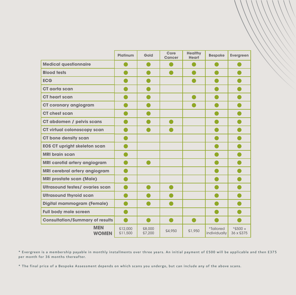|                                        | Platinum           | Gold             | Core<br><b>Cancer</b> | <b>Healthy</b><br><b>Heart</b> | <b>Bespoke</b>            | <b>Evergreen</b>        |
|----------------------------------------|--------------------|------------------|-----------------------|--------------------------------|---------------------------|-------------------------|
| <b>Medical questionnaire</b>           |                    |                  |                       |                                |                           |                         |
| <b>Blood tests</b>                     |                    |                  |                       |                                |                           |                         |
| <b>ECG</b>                             |                    |                  |                       |                                |                           |                         |
| CT gorta scan                          |                    |                  |                       |                                |                           |                         |
| CT heart scan                          |                    |                  |                       |                                |                           |                         |
| <b>CT coronary angiogram</b>           |                    |                  |                       |                                |                           |                         |
| CT chest scan                          |                    |                  |                       |                                |                           |                         |
| <b>CT abdomen / pelvis scans</b>       |                    |                  |                       |                                |                           |                         |
| CT virtual colonoscopy scan            |                    |                  |                       |                                |                           |                         |
| <b>CT bone density scan</b>            |                    |                  |                       |                                |                           |                         |
| <b>EOS CT upright skeleton scan</b>    |                    |                  |                       |                                |                           |                         |
| <b>MRI brain scan</b>                  |                    |                  |                       |                                |                           |                         |
| <b>MRI carotid artery angiogram</b>    |                    |                  |                       |                                |                           |                         |
| <b>MRI cerebral artery angiogram</b>   |                    |                  |                       |                                |                           |                         |
| <b>MRI prostate scan (Male)</b>        |                    |                  |                       |                                |                           |                         |
| <b>Ultrasound testes/ ovaries scan</b> |                    |                  |                       |                                |                           |                         |
| <b>Ultrasound thyroid scan</b>         |                    |                  |                       |                                |                           |                         |
| Digital mammogram (Female)             |                    |                  |                       |                                |                           |                         |
| <b>Full body mole screen</b>           |                    |                  |                       |                                |                           |                         |
| <b>Consultation/Summary of results</b> |                    |                  |                       |                                |                           |                         |
| <b>MEN</b><br><b>WOMEN</b>             | £12,000<br>£11,500 | £8,000<br>£7,200 | £4.950                | £1.950                         | *Tailored<br>individually | $*$ £500 +<br>36 x £375 |

\* Evergreen is a membership payable in monthly installments over three years. An initial payment of £500 will be applicable and then £375 per month for 36 months thereafter.

\* The final price of a Bespoke Assessment depends on which scans you undergo, but can include any of the above scans.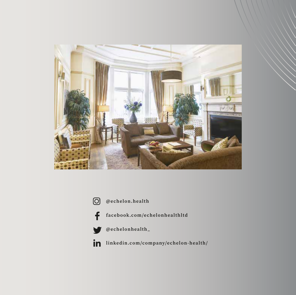







facebook.com/echelonhealthltd



@echelonhealth\_